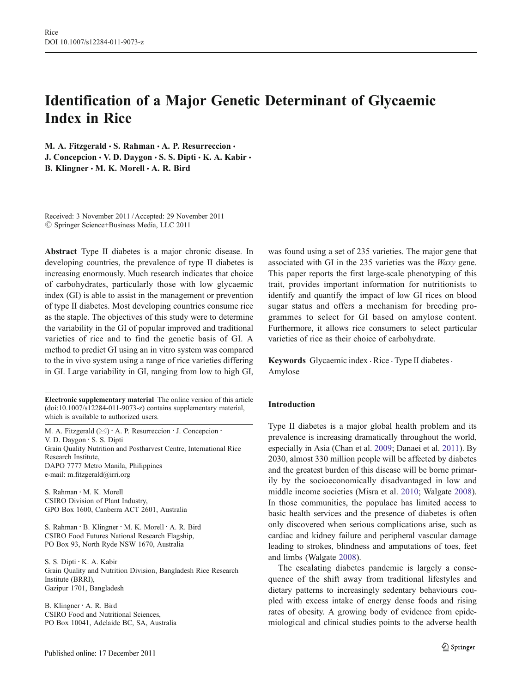# Identification of a Major Genetic Determinant of Glycaemic Index in Rice

M. A. Fitzgerald  $\cdot$  S. Rahman  $\cdot$  A. P. Resurreccion  $\cdot$ J. Concepcion  $\cdot$  V. D. Daygon  $\cdot$  S. S. Dipti  $\cdot$  K. A. Kabir  $\cdot$ B. Klingner  $\cdot$  M. K. Morell  $\cdot$  A. R. Bird

Received: 3 November 2011 /Accepted: 29 November 2011  $\circledcirc$  Springer Science+Business Media, LLC 2011

Abstract Type II diabetes is a major chronic disease. In developing countries, the prevalence of type II diabetes is increasing enormously. Much research indicates that choice of carbohydrates, particularly those with low glycaemic index (GI) is able to assist in the management or prevention of type II diabetes. Most developing countries consume rice as the staple. The objectives of this study were to determine the variability in the GI of popular improved and traditional varieties of rice and to find the genetic basis of GI. A method to predict GI using an in vitro system was compared to the in vivo system using a range of rice varieties differing in GI. Large variability in GI, ranging from low to high GI,

Electronic supplementary material The online version of this article (doi:[10.1007/s12284-011-9073-z](http://dx.doi.org/10.1007/s12284-011-9073-z)) contains supplementary material, which is available to authorized users.

M. A. Fitzgerald  $(\boxtimes) \cdot$  A. P. Resurreccion  $\cdot$  J. Concepcion  $\cdot$ V. D. Daygon : S. S. Dipti Grain Quality Nutrition and Postharvest Centre, International Rice Research Institute, DAPO 7777 Metro Manila, Philippines e-mail: m.fitzgerald@irri.org

S. Rahman : M. K. Morell CSIRO Division of Plant Industry, GPO Box 1600, Canberra ACT 2601, Australia

S. Rahman : B. Klingner : M. K. Morell : A. R. Bird CSIRO Food Futures National Research Flagship, PO Box 93, North Ryde NSW 1670, Australia

S. S. Dipti : K. A. Kabir Grain Quality and Nutrition Division, Bangladesh Rice Research Institute (BRRI), Gazipur 1701, Bangladesh

B. Klingner : A. R. Bird CSIRO Food and Nutritional Sciences, PO Box 10041, Adelaide BC, SA, Australia

was found using a set of 235 varieties. The major gene that associated with GI in the 235 varieties was the Waxy gene. This paper reports the first large-scale phenotyping of this trait, provides important information for nutritionists to identify and quantify the impact of low GI rices on blood sugar status and offers a mechanism for breeding programmes to select for GI based on amylose content. Furthermore, it allows rice consumers to select particular varieties of rice as their choice of carbohydrate.

Keywords Glycaemic index  $\cdot$  Rice  $\cdot$  Type II diabetes  $\cdot$ Amylose

### Introduction

Type II diabetes is a major global health problem and its prevalence is increasing dramatically throughout the world, especially in Asia (Chan et al. [2009](#page-7-0); Danaei et al. [2011](#page-7-0)). By 2030, almost 330 million people will be affected by diabetes and the greatest burden of this disease will be borne primarily by the socioeconomically disadvantaged in low and middle income societies (Misra et al. [2010;](#page-8-0) Walgate [2008\)](#page-8-0). In those communities, the populace has limited access to basic health services and the presence of diabetes is often only discovered when serious complications arise, such as cardiac and kidney failure and peripheral vascular damage leading to strokes, blindness and amputations of toes, feet and limbs (Walgate [2008\)](#page-8-0).

The escalating diabetes pandemic is largely a consequence of the shift away from traditional lifestyles and dietary patterns to increasingly sedentary behaviours coupled with excess intake of energy dense foods and rising rates of obesity. A growing body of evidence from epidemiological and clinical studies points to the adverse health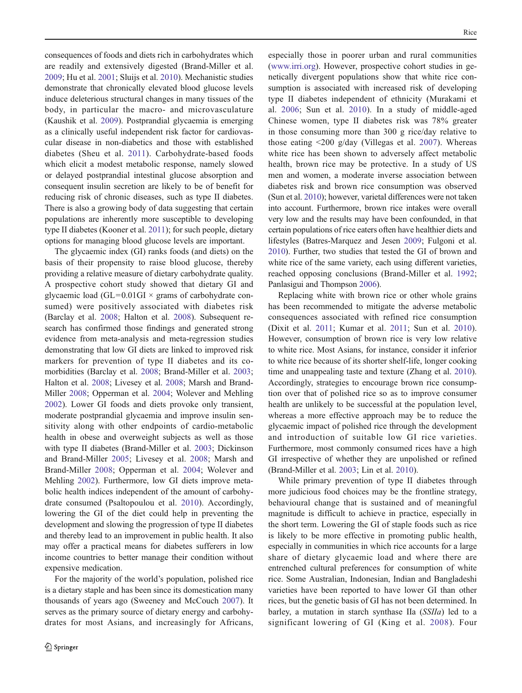consequences of foods and diets rich in carbohydrates which are readily and extensively digested (Brand-Miller et al. [2009;](#page-7-0) Hu et al. [2001;](#page-8-0) Sluijs et al. [2010](#page-8-0)). Mechanistic studies demonstrate that chronically elevated blood glucose levels induce deleterious structural changes in many tissues of the body, in particular the macro- and microvasculature (Kaushik et al. [2009\)](#page-8-0). Postprandial glycaemia is emerging as a clinically useful independent risk factor for cardiovascular disease in non-diabetics and those with established diabetes (Sheu et al. [2011\)](#page-8-0). Carbohydrate-based foods which elicit a modest metabolic response, namely slowed or delayed postprandial intestinal glucose absorption and consequent insulin secretion are likely to be of benefit for reducing risk of chronic diseases, such as type II diabetes. There is also a growing body of data suggesting that certain populations are inherently more susceptible to developing type II diabetes (Kooner et al. [2011\)](#page-8-0); for such people, dietary options for managing blood glucose levels are important.

The glycaemic index (GI) ranks foods (and diets) on the basis of their propensity to raise blood glucose, thereby providing a relative measure of dietary carbohydrate quality. A prospective cohort study showed that dietary GI and glycaemic load (GL=0.01GI  $\times$  grams of carbohydrate consumed) were positively associated with diabetes risk (Barclay et al. [2008;](#page-7-0) Halton et al. [2008](#page-7-0)). Subsequent research has confirmed those findings and generated strong evidence from meta-analysis and meta-regression studies demonstrating that low GI diets are linked to improved risk markers for prevention of type II diabetes and its comorbidities (Barclay et al. [2008;](#page-7-0) Brand-Miller et al. [2003](#page-7-0); Halton et al. [2008;](#page-7-0) Livesey et al. [2008](#page-8-0); Marsh and Brand-Miller [2008](#page-8-0); Opperman et al. [2004;](#page-8-0) Wolever and Mehling [2002\)](#page-8-0). Lower GI foods and diets provoke only transient, moderate postprandial glycaemia and improve insulin sensitivity along with other endpoints of cardio-metabolic health in obese and overweight subjects as well as those with type II diabetes (Brand-Miller et al. [2003;](#page-7-0) Dickinson and Brand-Miller [2005;](#page-7-0) Livesey et al. [2008](#page-8-0); Marsh and Brand-Miller [2008;](#page-8-0) Opperman et al. [2004](#page-8-0); Wolever and Mehling [2002\)](#page-8-0). Furthermore, low GI diets improve metabolic health indices independent of the amount of carbohydrate consumed (Psaltopoulou et al. [2010\)](#page-8-0). Accordingly, lowering the GI of the diet could help in preventing the development and slowing the progression of type II diabetes and thereby lead to an improvement in public health. It also may offer a practical means for diabetes sufferers in low income countries to better manage their condition without expensive medication.

For the majority of the world's population, polished rice is a dietary staple and has been since its domestication many thousands of years ago (Sweeney and McCouch [2007\)](#page-8-0). It serves as the primary source of dietary energy and carbohydrates for most Asians, and increasingly for Africans, especially those in poorer urban and rural communities [\(www.irri.org](http://www.irri.org)). However, prospective cohort studies in genetically divergent populations show that white rice consumption is associated with increased risk of developing type II diabetes independent of ethnicity (Murakami et al. [2006;](#page-8-0) Sun et al. [2010\)](#page-8-0). In a study of middle-aged Chinese women, type II diabetes risk was 78% greater in those consuming more than 300 g rice/day relative to those eating <200 g/day (Villegas et al. [2007](#page-8-0)). Whereas white rice has been shown to adversely affect metabolic health, brown rice may be protective. In a study of US men and women, a moderate inverse association between diabetes risk and brown rice consumption was observed (Sun et al. [2010\)](#page-8-0); however, varietal differences were not taken into account. Furthermore, brown rice intakes were overall very low and the results may have been confounded, in that certain populations of rice eaters often have healthier diets and lifestyles (Batres-Marquez and Jesen [2009](#page-7-0); Fulgoni et al. [2010\)](#page-7-0). Further, two studies that tested the GI of brown and white rice of the same variety, each using different varieties, reached opposing conclusions (Brand-Miller et al. [1992;](#page-7-0) Panlasigui and Thompson [2006\)](#page-8-0).

Replacing white with brown rice or other whole grains has been recommended to mitigate the adverse metabolic consequences associated with refined rice consumption (Dixit et al. [2011](#page-7-0); Kumar et al. [2011](#page-8-0); Sun et al. [2010](#page-8-0)). However, consumption of brown rice is very low relative to white rice. Most Asians, for instance, consider it inferior to white rice because of its shorter shelf-life, longer cooking time and unappealing taste and texture (Zhang et al. [2010\)](#page-8-0). Accordingly, strategies to encourage brown rice consumption over that of polished rice so as to improve consumer health are unlikely to be successful at the population level, whereas a more effective approach may be to reduce the glycaemic impact of polished rice through the development and introduction of suitable low GI rice varieties. Furthermore, most commonly consumed rices have a high GI irrespective of whether they are unpolished or refined (Brand-Miller et al. [2003;](#page-7-0) Lin et al. [2010\)](#page-8-0).

While primary prevention of type II diabetes through more judicious food choices may be the frontline strategy, behavioural change that is sustained and of meaningful magnitude is difficult to achieve in practice, especially in the short term. Lowering the GI of staple foods such as rice is likely to be more effective in promoting public health, especially in communities in which rice accounts for a large share of dietary glycaemic load and where there are entrenched cultural preferences for consumption of white rice. Some Australian, Indonesian, Indian and Bangladeshi varieties have been reported to have lower GI than other rices, but the genetic basis of GI has not been determined. In barley, a mutation in starch synthase IIa (SSIIa) led to a significant lowering of GI (King et al. [2008\)](#page-8-0). Four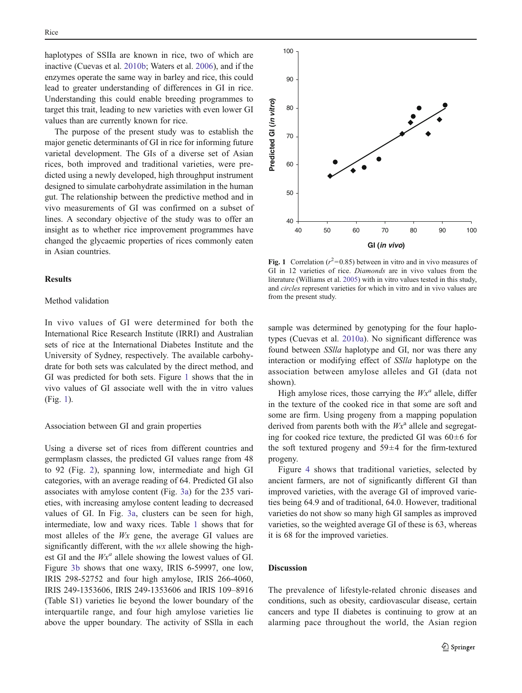haplotypes of SSIIa are known in rice, two of which are inactive (Cuevas et al. [2010b;](#page-7-0) Waters et al. [2006](#page-8-0)), and if the enzymes operate the same way in barley and rice, this could lead to greater understanding of differences in GI in rice. Understanding this could enable breeding programmes to target this trait, leading to new varieties with even lower GI values than are currently known for rice.

The purpose of the present study was to establish the major genetic determinants of GI in rice for informing future varietal development. The GIs of a diverse set of Asian rices, both improved and traditional varieties, were predicted using a newly developed, high throughput instrument designed to simulate carbohydrate assimilation in the human gut. The relationship between the predictive method and in vivo measurements of GI was confirmed on a subset of lines. A secondary objective of the study was to offer an insight as to whether rice improvement programmes have changed the glycaemic properties of rices commonly eaten in Asian countries.

## **Results**

# Method validation

In vivo values of GI were determined for both the International Rice Research Institute (IRRI) and Australian sets of rice at the International Diabetes Institute and the University of Sydney, respectively. The available carbohydrate for both sets was calculated by the direct method, and GI was predicted for both sets. Figure 1 shows that the in vivo values of GI associate well with the in vitro values (Fig. 1).

#### Association between GI and grain properties

Using a diverse set of rices from different countries and germplasm classes, the predicted GI values range from 48 to 92 (Fig. [2\)](#page-3-0), spanning low, intermediate and high GI categories, with an average reading of 64. Predicted GI also associates with amylose content (Fig. [3a](#page-3-0)) for the 235 varieties, with increasing amylose content leading to decreased values of GI. In Fig. [3a,](#page-3-0) clusters can be seen for high, intermediate, low and waxy rices. Table [1](#page-4-0) shows that for most alleles of the Wx gene, the average GI values are significantly different, with the *wx* allele showing the highest GI and the  $Wx^a$  allele showing the lowest values of GI. Figure [3b](#page-3-0) shows that one waxy, IRIS 6-59997, one low, IRIS 298-52752 and four high amylose, IRIS 266-4060, IRIS 249-1353606, IRIS 249-1353606 and IRIS 109–8916 (Table S1) varieties lie beyond the lower boundary of the interquartile range, and four high amylose varieties lie above the upper boundary. The activity of SSlla in each



Fig. 1 Correlation ( $r^2$ =0.85) between in vitro and in vivo measures of GI in 12 varieties of rice. Diamonds are in vivo values from the literature (Williams et al. [2005](#page-8-0)) with in vitro values tested in this study, and circles represent varieties for which in vitro and in vivo values are from the present study.

sample was determined by genotyping for the four haplotypes (Cuevas et al. [2010a](#page-7-0)). No significant difference was found between SSlla haplotype and GI, nor was there any interaction or modifying effect of SSlla haplotype on the association between amylose alleles and GI (data not shown).

High amylose rices, those carrying the  $Wx^a$  allele, differ in the texture of the cooked rice in that some are soft and some are firm. Using progeny from a mapping population derived from parents both with the  $Wx^a$  allele and segregating for cooked rice texture, the predicted GI was  $60 \pm 6$  for the soft textured progeny and  $59±4$  for the firm-textured progeny.

Figure [4](#page-4-0) shows that traditional varieties, selected by ancient farmers, are not of significantly different GI than improved varieties, with the average GI of improved varieties being 64.9 and of traditional, 64.0. However, traditional varieties do not show so many high GI samples as improved varieties, so the weighted average GI of these is 63, whereas it is 68 for the improved varieties.

# **Discussion**

The prevalence of lifestyle-related chronic diseases and conditions, such as obesity, cardiovascular disease, certain cancers and type II diabetes is continuing to grow at an alarming pace throughout the world, the Asian region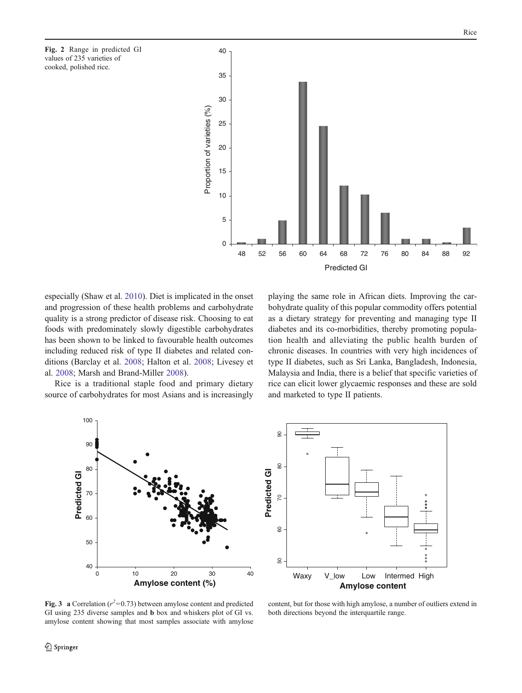<span id="page-3-0"></span>Fig. 2 Range in predicted GI values of 235 varieties of cooked, polished rice.



especially (Shaw et al. [2010](#page-8-0)). Diet is implicated in the onset and progression of these health problems and carbohydrate quality is a strong predictor of disease risk. Choosing to eat foods with predominately slowly digestible carbohydrates has been shown to be linked to favourable health outcomes including reduced risk of type II diabetes and related conditions (Barclay et al. [2008;](#page-7-0) Halton et al. [2008](#page-7-0); Livesey et al. [2008;](#page-8-0) Marsh and Brand-Miller [2008\)](#page-8-0).

Rice is a traditional staple food and primary dietary source of carbohydrates for most Asians and is increasingly

playing the same role in African diets. Improving the carbohydrate quality of this popular commodity offers potential as a dietary strategy for preventing and managing type II diabetes and its co-morbidities, thereby promoting population health and alleviating the public health burden of chronic diseases. In countries with very high incidences of type II diabetes, such as Sri Lanka, Bangladesh, Indonesia, Malaysia and India, there is a belief that specific varieties of rice can elicit lower glycaemic responses and these are sold and marketed to type II patients.





Fig. 3 a Correlation ( $r^2$ =0.73) between amylose content and predicted GI using 235 diverse samples and b box and whiskers plot of GI vs. amylose content showing that most samples associate with amylose

content, but for those with high amylose, a number of outliers extend in both directions beyond the interquartile range.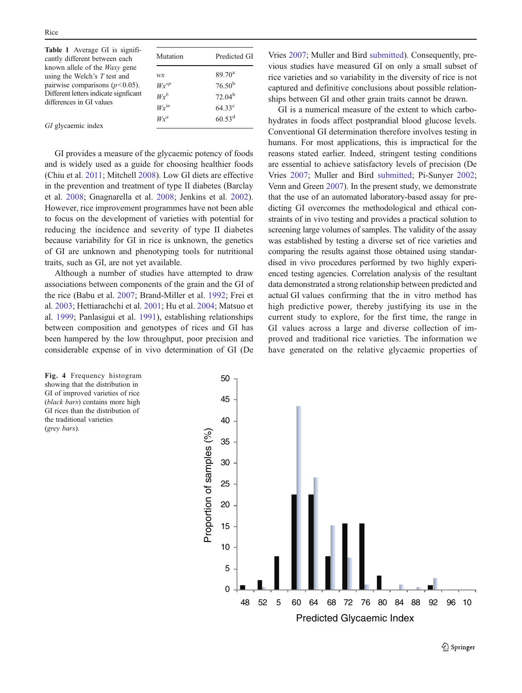<span id="page-4-0"></span>

| Table 1 Average GI is signifi-<br>cantly different between each                                             | Mutation            | Predicted GI                   |
|-------------------------------------------------------------------------------------------------------------|---------------------|--------------------------------|
| known allele of the <i>Waxy</i> gene<br>using the Welch's $T$ test and<br>pairwise comparisons $(p<0.05)$ . | wx<br>$Wx^{op}$     | $89.70^{\rm a}$<br>$76.50^{b}$ |
| Different letters indicate signficant<br>differences in GI values                                           | $Wx^b$<br>$Wx^{in}$ | $72.04^{b}$<br>$64.33^{\circ}$ |
| GI glycaemic index                                                                                          | $Wx^a$              | $60.53^d$                      |

GI provides a measure of the glycaemic potency of foods and is widely used as a guide for choosing healthier foods (Chiu et al. [2011](#page-7-0); Mitchell [2008\)](#page-8-0). Low GI diets are effective in the prevention and treatment of type II diabetes (Barclay et al. [2008](#page-7-0); Gnagnarella et al. [2008;](#page-7-0) Jenkins et al. [2002](#page-8-0)). However, rice improvement programmes have not been able to focus on the development of varieties with potential for reducing the incidence and severity of type II diabetes because variability for GI in rice is unknown, the genetics of GI are unknown and phenotyping tools for nutritional traits, such as GI, are not yet available.

Although a number of studies have attempted to draw associations between components of the grain and the GI of the rice (Babu et al. [2007;](#page-7-0) Brand-Miller et al. [1992](#page-7-0); Frei et al. [2003;](#page-7-0) Hettiarachchi et al. [2001](#page-8-0); Hu et al. [2004](#page-8-0); Matsuo et al. [1999](#page-8-0); Panlasigui et al. [1991\)](#page-8-0), establishing relationships between composition and genotypes of rices and GI has been hampered by the low throughput, poor precision and considerable expense of in vivo determination of GI (De

Fig. 4 Frequency histogram showing that the distribution in GI of improved varieties of rice (black bars) contains more high GI rices than the distribution of the traditional varieties (grey bars).

Vries [2007;](#page-7-0) Muller and Bird [submitted\)](#page-8-0). Consequently, previous studies have measured GI on only a small subset of rice varieties and so variability in the diversity of rice is not captured and definitive conclusions about possible relationships between GI and other grain traits cannot be drawn.

GI is a numerical measure of the extent to which carbohydrates in foods affect postprandial blood glucose levels. Conventional GI determination therefore involves testing in humans. For most applications, this is impractical for the reasons stated earlier. Indeed, stringent testing conditions are essential to achieve satisfactory levels of precision (De Vries [2007](#page-7-0); Muller and Bird [submitted](#page-8-0); Pi-Sunyer [2002;](#page-8-0) Venn and Green [2007](#page-8-0)). In the present study, we demonstrate that the use of an automated laboratory-based assay for predicting GI overcomes the methodological and ethical constraints of in vivo testing and provides a practical solution to screening large volumes of samples. The validity of the assay was established by testing a diverse set of rice varieties and comparing the results against those obtained using standardised in vivo procedures performed by two highly experienced testing agencies. Correlation analysis of the resultant data demonstrated a strong relationship between predicted and actual GI values confirming that the in vitro method has high predictive power, thereby justifying its use in the current study to explore, for the first time, the range in GI values across a large and diverse collection of improved and traditional rice varieties. The information we have generated on the relative glycaemic properties of

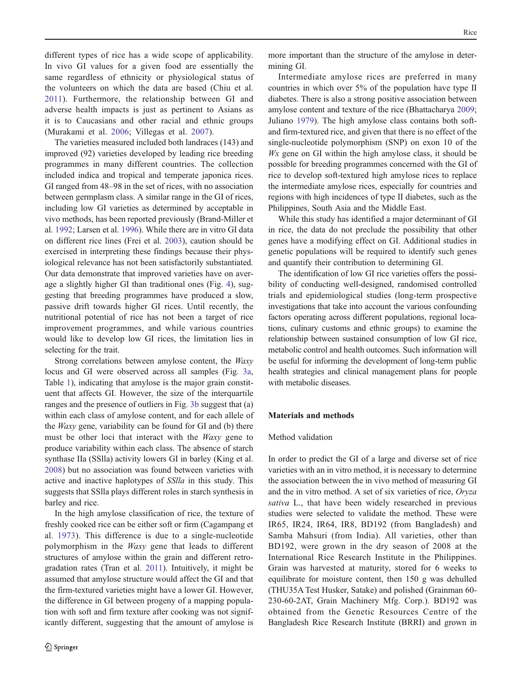different types of rice has a wide scope of applicability. In vivo GI values for a given food are essentially the same regardless of ethnicity or physiological status of the volunteers on which the data are based (Chiu et al. [2011](#page-7-0)). Furthermore, the relationship between GI and adverse health impacts is just as pertinent to Asians as it is to Caucasians and other racial and ethnic groups (Murakami et al. [2006](#page-8-0); Villegas et al. [2007\)](#page-8-0).

The varieties measured included both landraces (143) and improved (92) varieties developed by leading rice breeding programmes in many different countries. The collection included indica and tropical and temperate japonica rices. GI ranged from 48–98 in the set of rices, with no association between germplasm class. A similar range in the GI of rices, including low GI varieties as determined by acceptable in vivo methods, has been reported previously (Brand-Miller et al. [1992;](#page-7-0) Larsen et al. [1996](#page-8-0)). While there are in vitro GI data on different rice lines (Frei et al. [2003\)](#page-7-0), caution should be exercised in interpreting these findings because their physiological relevance has not been satisfactorily substantiated. Our data demonstrate that improved varieties have on average a slightly higher GI than traditional ones (Fig. [4](#page-4-0)), suggesting that breeding programmes have produced a slow, passive drift towards higher GI rices. Until recently, the nutritional potential of rice has not been a target of rice improvement programmes, and while various countries would like to develop low GI rices, the limitation lies in selecting for the trait.

Strong correlations between amylose content, the Waxy locus and GI were observed across all samples (Fig. [3a,](#page-3-0) Table [1\)](#page-4-0), indicating that amylose is the major grain constituent that affects GI. However, the size of the interquartile ranges and the presence of outliers in Fig. [3b](#page-3-0) suggest that (a) within each class of amylose content, and for each allele of the Waxy gene, variability can be found for GI and (b) there must be other loci that interact with the Waxy gene to produce variability within each class. The absence of starch synthase IIa (SSlla) activity lowers GI in barley (King et al. [2008\)](#page-8-0) but no association was found between varieties with active and inactive haplotypes of SSlla in this study. This suggests that SSlla plays different roles in starch synthesis in barley and rice.

In the high amylose classification of rice, the texture of freshly cooked rice can be either soft or firm (Cagampang et al. [1973](#page-7-0)). This difference is due to a single-nucleotide polymorphism in the Waxy gene that leads to different structures of amylose within the grain and different retrogradation rates (Tran et al. [2011\)](#page-8-0). Intuitively, it might be assumed that amylose structure would affect the GI and that the firm-textured varieties might have a lower GI. However, the difference in GI between progeny of a mapping population with soft and firm texture after cooking was not significantly different, suggesting that the amount of amylose is

more important than the structure of the amylose in determining GI.

Intermediate amylose rices are preferred in many countries in which over 5% of the population have type II diabetes. There is also a strong positive association between amylose content and texture of the rice (Bhattacharya [2009;](#page-7-0) Juliano [1979](#page-8-0)). The high amylose class contains both softand firm-textured rice, and given that there is no effect of the single-nucleotide polymorphism (SNP) on exon 10 of the  $Wx$  gene on GI within the high amylose class, it should be possible for breeding programmes concerned with the GI of rice to develop soft-textured high amylose rices to replace the intermediate amylose rices, especially for countries and regions with high incidences of type II diabetes, such as the Philippines, South Asia and the Middle East.

While this study has identified a major determinant of GI in rice, the data do not preclude the possibility that other genes have a modifying effect on GI. Additional studies in genetic populations will be required to identify such genes and quantify their contribution to determining GI.

The identification of low GI rice varieties offers the possibility of conducting well-designed, randomised controlled trials and epidemiological studies (long-term prospective investigations that take into account the various confounding factors operating across different populations, regional locations, culinary customs and ethnic groups) to examine the relationship between sustained consumption of low GI rice, metabolic control and health outcomes. Such information will be useful for informing the development of long-term public health strategies and clinical management plans for people with metabolic diseases.

### Materials and methods

#### Method validation

In order to predict the GI of a large and diverse set of rice varieties with an in vitro method, it is necessary to determine the association between the in vivo method of measuring GI and the in vitro method. A set of six varieties of rice, Oryza sativa L., that have been widely researched in previous studies were selected to validate the method. These were IR65, IR24, IR64, IR8, BD192 (from Bangladesh) and Samba Mahsuri (from India). All varieties, other than BD192, were grown in the dry season of 2008 at the International Rice Research Institute in the Philippines. Grain was harvested at maturity, stored for 6 weeks to equilibrate for moisture content, then 150 g was dehulled (THU35A Test Husker, Satake) and polished (Grainman 60- 230-60-2AT, Grain Machinery Mfg. Corp.). BD192 was obtained from the Genetic Resources Centre of the Bangladesh Rice Research Institute (BRRI) and grown in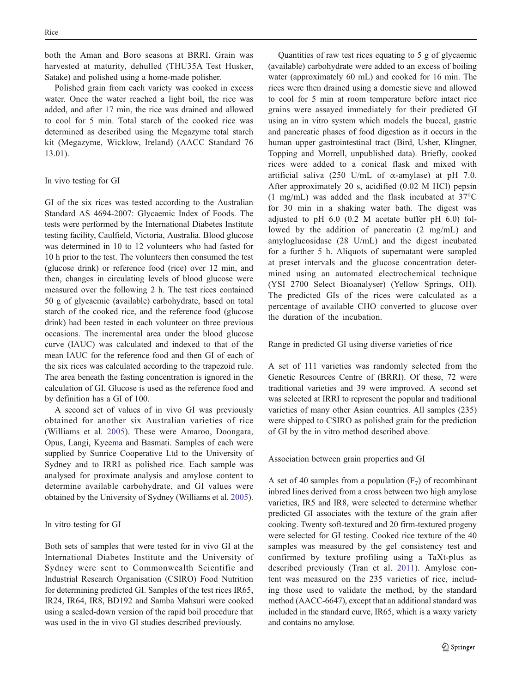both the Aman and Boro seasons at BRRI. Grain was harvested at maturity, dehulled (THU35A Test Husker, Satake) and polished using a home-made polisher.

Polished grain from each variety was cooked in excess water. Once the water reached a light boil, the rice was added, and after 17 min, the rice was drained and allowed to cool for 5 min. Total starch of the cooked rice was determined as described using the Megazyme total starch kit (Megazyme, Wicklow, Ireland) (AACC Standard 76 13.01).

## In vivo testing for GI

GI of the six rices was tested according to the Australian Standard AS 4694-2007: Glycaemic Index of Foods. The tests were performed by the International Diabetes Institute testing facility, Caulfield, Victoria, Australia. Blood glucose was determined in 10 to 12 volunteers who had fasted for 10 h prior to the test. The volunteers then consumed the test (glucose drink) or reference food (rice) over 12 min, and then, changes in circulating levels of blood glucose were measured over the following 2 h. The test rices contained 50 g of glycaemic (available) carbohydrate, based on total starch of the cooked rice, and the reference food (glucose drink) had been tested in each volunteer on three previous occasions. The incremental area under the blood glucose curve (IAUC) was calculated and indexed to that of the mean IAUC for the reference food and then GI of each of the six rices was calculated according to the trapezoid rule. The area beneath the fasting concentration is ignored in the calculation of GI. Glucose is used as the reference food and by definition has a GI of 100.

A second set of values of in vivo GI was previously obtained for another six Australian varieties of rice (Williams et al. [2005\)](#page-8-0). These were Amaroo, Doongara, Opus, Langi, Kyeema and Basmati. Samples of each were supplied by Sunrice Cooperative Ltd to the University of Sydney and to IRRI as polished rice. Each sample was analysed for proximate analysis and amylose content to determine available carbohydrate, and GI values were obtained by the University of Sydney (Williams et al. [2005](#page-8-0)).

### In vitro testing for GI

Both sets of samples that were tested for in vivo GI at the International Diabetes Institute and the University of Sydney were sent to Commonwealth Scientific and Industrial Research Organisation (CSIRO) Food Nutrition for determining predicted GI. Samples of the test rices IR65, IR24, IR64, IR8, BD192 and Samba Mahsuri were cooked using a scaled-down version of the rapid boil procedure that was used in the in vivo GI studies described previously.

Quantities of raw test rices equating to 5 g of glycaemic (available) carbohydrate were added to an excess of boiling water (approximately 60 mL) and cooked for 16 min. The rices were then drained using a domestic sieve and allowed to cool for 5 min at room temperature before intact rice grains were assayed immediately for their predicted GI using an in vitro system which models the buccal, gastric and pancreatic phases of food digestion as it occurs in the human upper gastrointestinal tract (Bird, Usher, Klingner, Topping and Morrell, unpublished data). Briefly, cooked rices were added to a conical flask and mixed with artificial saliva (250 U/mL of  $\alpha$ -amylase) at pH 7.0. After approximately 20 s, acidified (0.02 M HCl) pepsin (1 mg/mL) was added and the flask incubated at 37°C for 30 min in a shaking water bath. The digest was adjusted to pH 6.0 (0.2 M acetate buffer pH 6.0) followed by the addition of pancreatin (2 mg/mL) and amyloglucosidase (28 U/mL) and the digest incubated for a further 5 h. Aliquots of supernatant were sampled at preset intervals and the glucose concentration determined using an automated electrochemical technique (YSI 2700 Select Bioanalyser) (Yellow Springs, OH). The predicted GIs of the rices were calculated as a percentage of available CHO converted to glucose over the duration of the incubation.

Range in predicted GI using diverse varieties of rice

A set of 111 varieties was randomly selected from the Genetic Resources Centre of (BRRI). Of these, 72 were traditional varieties and 39 were improved. A second set was selected at IRRI to represent the popular and traditional varieties of many other Asian countries. All samples (235) were shipped to CSIRO as polished grain for the prediction of GI by the in vitro method described above.

#### Association between grain properties and GI

A set of 40 samples from a population  $(F_7)$  of recombinant inbred lines derived from a cross between two high amylose varieties, IR5 and IR8, were selected to determine whether predicted GI associates with the texture of the grain after cooking. Twenty soft-textured and 20 firm-textured progeny were selected for GI testing. Cooked rice texture of the 40 samples was measured by the gel consistency test and confirmed by texture profiling using a TaXt-plus as described previously (Tran et al. [2011](#page-8-0)). Amylose content was measured on the 235 varieties of rice, including those used to validate the method, by the standard method (AACC-6647), except that an additional standard was included in the standard curve, IR65, which is a waxy variety and contains no amylose.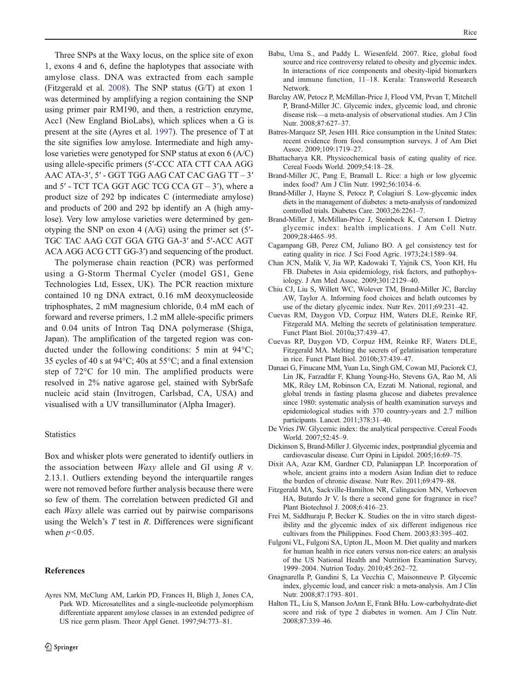<span id="page-7-0"></span>Three SNPs at the Waxy locus, on the splice site of exon 1, exons 4 and 6, define the haplotypes that associate with amylose class. DNA was extracted from each sample (Fitzgerald et al. 2008). The SNP status (G/T) at exon 1 was determined by amplifying a region containing the SNP using primer pair RM190, and then, a restriction enzyme, Acc1 (New England BioLabs), which splices when a G is present at the site (Ayres et al. 1997). The presence of T at the site signifies low amylose. Intermediate and high amylose varieties were genotyped for SNP status at exon 6 (A/C) using allele-specific primers (5′-CCC ATA CTT CAA AGG AAC ATA-3′, 5′ - GGT TGG AAG CAT CAC GAG TT – 3′ and  $5'$  - TCT TCA GGT AGC TCG CCA GT  $-3'$ ), where a product size of 292 bp indicates C (intermediate amylose) and products of 200 and 292 bp identify an A (high amylose). Very low amylose varieties were determined by genotyping the SNP on exon 4 (A/G) using the primer set (5′- TGC TAC AAG CGT GGA GTG GA-3′ and 5′-ACC AGT ACA AGG ACG CTT GG-3′) and sequencing of the product.

The polymerase chain reaction (PCR) was performed using a G-Storm Thermal Cycler (model GS1, Gene Technologies Ltd, Essex, UK). The PCR reaction mixture contained 10 ng DNA extract, 0.16 mM deoxynucleoside triphosphates, 2 mM magnesium chloride, 0.4 mM each of forward and reverse primers, 1.2 mM allele-specific primers and 0.04 units of Intron Taq DNA polymerase (Shiga, Japan). The amplification of the targeted region was conducted under the following conditions: 5 min at 94°C; 35 cycles of 40 s at 94°C; 40s at 55°C; and a final extension step of 72°C for 10 min. The amplified products were resolved in 2% native agarose gel, stained with SybrSafe nucleic acid stain (Invitrogen, Carlsbad, CA, USA) and visualised with a UV transilluminator (Alpha Imager).

#### Statistics

Box and whisker plots were generated to identify outliers in the association between  $Waxy$  allele and GI using  $R$  v. 2.13.1. Outliers extending beyond the interquartile ranges were not removed before further analysis because there were so few of them. The correlation between predicted GI and each Waxy allele was carried out by pairwise comparisons using the Welch's  $T$  test in  $R$ . Differences were significant when  $p<0.05$ .

## References

- Babu, Uma S., and Paddy L. Wiesenfeld. 2007. Rice, global food source and rice controversy related to obesity and glycemic index. In interactions of rice components and obesity-lipid biomarkers and immune function, 11–18. Kerala: Transworld Research Network.
- Barclay AW, Petocz P, McMillan-Price J, Flood VM, Prvan T, Mitchell P, Brand-Miller JC. Glycemic index, glycemic load, and chronic disease risk—a meta-analysis of observational studies. Am J Clin Nutr. 2008;87:627–37.
- Batres-Marquez SP, Jesen HH. Rice consumption in the United States: recent evidence from food consumption surveys. J of Am Diet Assoc. 2009;109:1719–27.
- Bhattacharya KR. Physicochemical basis of eating quality of rice. Cereal Foods World. 2009;54:18–28.
- Brand-Miller JC, Pang E, Bramall L. Rice: a high or low glycemic index food? Am J Clin Nutr. 1992;56:1034–6.
- Brand-Miller J, Hayne S, Petocz P, Colagiuri S. Low-glycemic index diets in the management of diabetes: a meta-analysis of randomized controlled trials. Diabetes Care. 2003;26:2261–7.
- Brand-Miller J, McMillan-Price J, Steinbeck K, Caterson I. Dietray glycemic index: health implications. J Am Coll Nutr. 2009;28:4465–95.
- Cagampang GB, Perez CM, Juliano BO. A gel consistency test for eating quality in rice. J Sci Food Agric. 1973;24:1589–94.
- Chan JCN, Malik V, Jia WP, Kadowaki T, Yajnik CS, Yoon KH, Hu FB. Diabetes in Asia epidemiology, risk factors, and pathophysiology. J Am Med Assoc. 2009;301:2129–40.
- Chiu CJ, Liu S, Willett WC, Wolever TM, Brand-Miller JC, Barclay AW, Taylor A. Informing food choices and helath outcomes by use of the dietary glycemic index. Nutr Rev. 2011;69:231–42.
- Cuevas RM, Daygon VD, Corpuz HM, Waters DLE, Reinke RF, Fitzgerald MA. Melting the secrets of gelatinisation temperature. Funct Plant Biol. 2010a;37:439–47.
- Cuevas RP, Daygon VD, Corpuz HM, Reinke RF, Waters DLE, Fitzgerald MA. Melting the secrets of gelatinisation temperature in rice. Funct Plant Biol. 2010b;37:439–47.
- Danaei G, Finucane MM, Yuan Lu, Singh GM, Cowan MJ, Paciorek CJ, Lin JK, Farzadfar F, Khang Young-Ho, Stevens GA, Rao M, Ali MK, Riley LM, Robinson CA, Ezzati M. National, regional, and global trends in fasting plasma glucose and diabetes prevalence since 1980: systematic analysis of health examination surveys and epidemiological studies with 370 country-years and 2.7 million participants. Lancet. 2011;378:31–40.
- De Vries JW. Glycemic index: the analytical perspective. Cereal Foods World. 2007;52:45–9.
- Dickinson S, Brand-Miller J. Glycemic index, postprandial glycemia and cardiovascular disease. Curr Opini in Lipidol. 2005;16:69–75.
- Dixit AA, Azar KM, Gardner CD, Palaniappan LP. Incorporation of whole, ancient grains into a modern Asian Indian diet to reduce the burden of chronic disease. Nutr Rev. 2011;69:479–88.
- Fitzgerald MA, Sackville-Hamilton NR, Calingacion MN, Verhoeven HA, Butardo Jr V. Is there a second gene for fragrance in rice? Plant Biotechnol J. 2008;6:416–23.
- Frei M, Siddhuraju P, Becker K. Studies on the in vitro starch digestibility and the glycemic index of six different indigenous rice cultivars from the Philippines. Food Chem. 2003;83:395–402.
- Fulgoni VL, Fulgoni SA, Upton JL, Moon M. Diet quality and markers for human health in rice eaters versus non-rice eaters: an analysis of the US National Health and Nutrition Examination Survey, 1999–2004. Nutrion Today. 2010;45:262–72.
- Gnagnarella P, Gandini S, La Vecchia C, Maisonneuve P. Glycemic index, glycemic load, and cancer risk: a meta-analysis. Am J Clin Nutr. 2008;87:1793–801.
- Halton TL, Liu S, Manson JoAnn E, Frank BHu. Low-carbohydrate-diet score and risk of type 2 diabetes in women. Am J Clin Nutr. 2008;87:339–46.